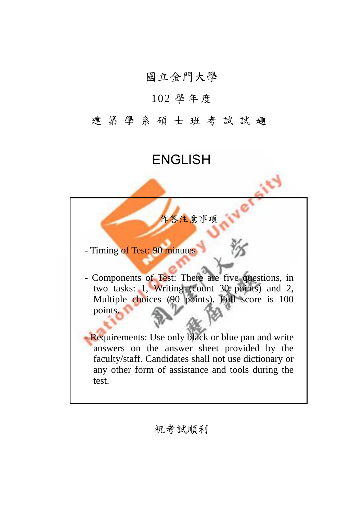## 國立金門大學

## 102 學 年 度

## 建築學系碩士班考試試題

## ENGLISH

- Timing of Test: 90 minutes

- Components of Test: There are five questions, in two tasks: 1, Writing (count 30 points) and 2, Multiple choices (90 points). Full score is 100 points.

作答注意事項

- Requirements: Use only black or blue pan and write answers on the answer sheet provided by the faculty/staff. Candidates shall not use dictionary or any other form of assistance and tools during the test.

祝考試順利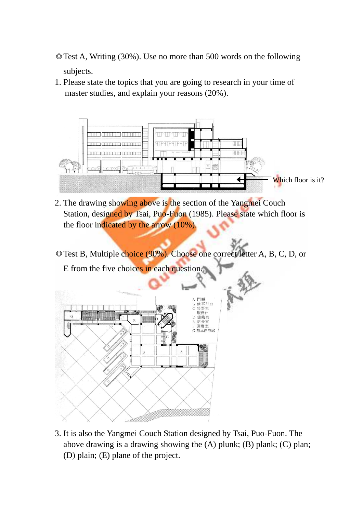- ◎Test A, Writing (30%). Use no more than 500 words on the following subjects.
- 1. Please state the topics that you are going to research in your time of master studies, and explain your reasons (20%).



- 2. The drawing showing above is the section of the Yangmei Couch Station, designed by Tsai, Puo-Fuon (1985). Please state which floor is the floor indicated by the arrow (10%).
- ◎Test B, Multiple choice (90%). Choose one correct letter A, B, C, D, or E from the five choices in each question.



3. It is also the Yangmei Couch Station designed by Tsai, Puo-Fuon. The above drawing is a drawing showing the (A) plunk; (B) plank; (C) plan; (D) plain; (E) plane of the project.